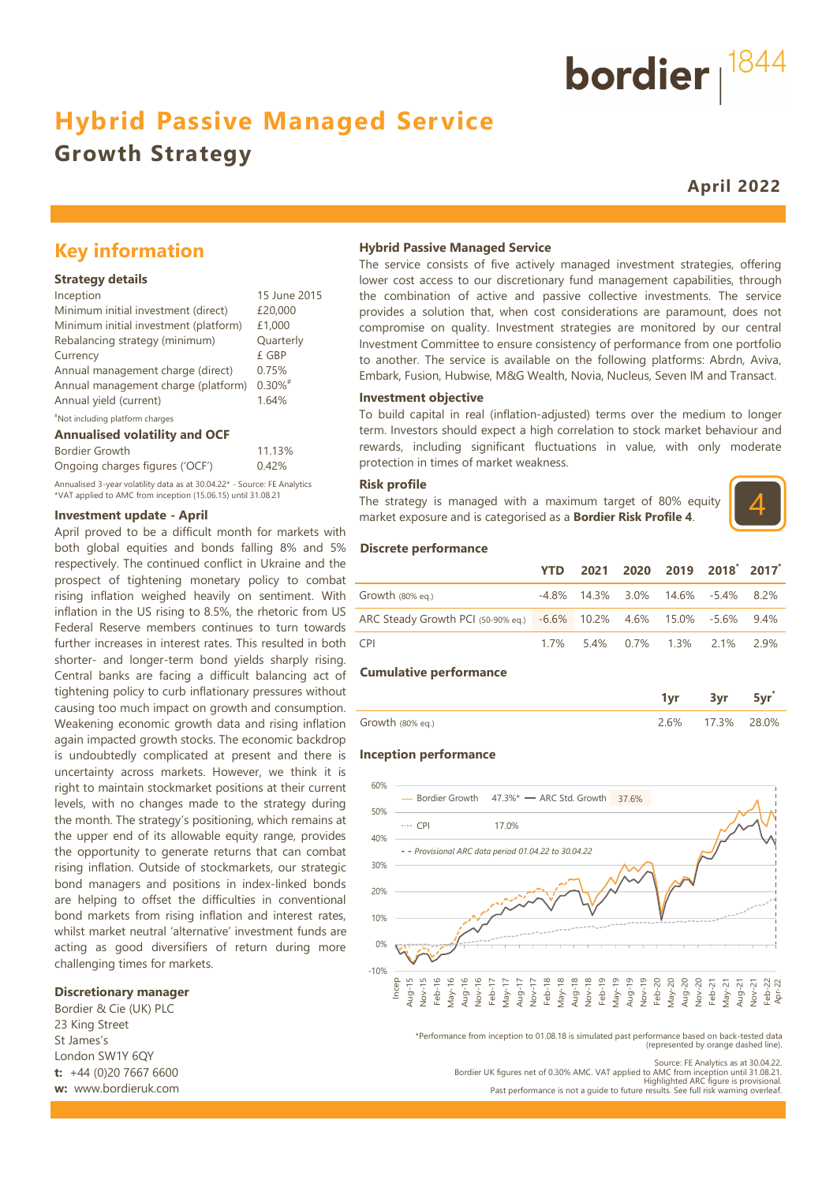## **Hybrid Passive Managed Service**

## **Growth Strategy**

**April 2022**

## **Key information**

#### **Strategy details**

| Inception                             | 15 June 2015          |
|---------------------------------------|-----------------------|
| Minimum initial investment (direct)   | £20,000               |
| Minimum initial investment (platform) | £1,000                |
| Rebalancing strategy (minimum)        | Quarterly             |
| Currency                              | £ GBP                 |
| Annual management charge (direct)     | 0.75%                 |
| Annual management charge (platform)   | $0.30\%$ <sup>#</sup> |
| Annual yield (current)                | 1.64%                 |
| "Not including platform charges       |                       |

#### **Annualised volatility and OCF**

| Bordier Growth                                                           | 11.13% |
|--------------------------------------------------------------------------|--------|
| Ongoing charges figures ('OCF')                                          | 0.42%  |
| Annualised 3-year volatility data as at 30.04.22* - Source: FE Analytics |        |
| *VAT applied to AMC from inception (15.06.15) until 31.08.21             |        |

#### **Investment update - April**

April proved to be a difficult month for markets with both global equities and bonds falling 8% and 5% respectively. The continued conflict in Ukraine and the prospect of tightening monetary policy to combat rising inflation weighed heavily on sentiment. With inflation in the US rising to 8.5%, the rhetoric from US Federal Reserve members continues to turn towards further increases in interest rates. This resulted in both shorter- and longer-term bond yields sharply rising. Central banks are facing a difficult balancing act of tightening policy to curb inflationary pressures without causing too much impact on growth and consumption. Weakening economic growth data and rising inflation again impacted growth stocks. The economic backdrop is undoubtedly complicated at present and there is uncertainty across markets. However, we think it is right to maintain stockmarket positions at their current levels, with no changes made to the strategy during the month. The strategy's positioning, which remains at the upper end of its allowable equity range, provides the opportunity to generate returns that can combat rising inflation. Outside of stockmarkets, our strategic bond managers and positions in index-linked bonds are helping to offset the difficulties in conventional bond markets from rising inflation and interest rates, whilst market neutral 'alternative' investment funds are acting as good diversifiers of return during more challenging times for markets.

#### **Discretionary manager**

Bordier & Cie (UK) PLC 23 King Street St James's London SW1Y 6QY **t:** +44 (0)20 7667 6600 **w:** www.bordieruk.com

#### **Hybrid Passive Managed Service**

The service consists of five actively managed investment strategies, offering lower cost access to our discretionary fund management capabilities, through the combination of active and passive collective investments. The service provides a solution that, when cost considerations are paramount, does not compromise on quality. Investment strategies are monitored by our central Investment Committee to ensure consistency of performance from one portfolio to another. The service is available on the following platforms: Abrdn, Aviva, Embark, Fusion, Hubwise, M&G Wealth, Novia, Nucleus, Seven IM and Transact.

#### **Investment objective**

To build capital in real (inflation-adjusted) terms over the medium to longer term. Investors should expect a high correlation to stock market behaviour and rewards, including significant fluctuations in value, with only moderate protection in times of market weakness.

#### **Risk profile**

The strategy is managed with a maximum target of 80% equity market exposure and is categorised as a **Bordier Risk Profile 4**.



#### **Discrete performance**

|                                                                      | <b>YTD</b> |  | 2021 2020 2019 2018 2017                |  |
|----------------------------------------------------------------------|------------|--|-----------------------------------------|--|
| Growth $(80\%$ eg.)                                                  |            |  | $-4.8\%$ 14.3% 3.0% 14.6% $-5.4\%$ 8.2% |  |
| ARC Steady Growth PCI (50-90% eq.) -6.6% 10.2% 4.6% 15.0% -5.6% 9.4% |            |  |                                         |  |
| <b>CPI</b>                                                           |            |  | 1.7% 5.4% 0.7% 1.3% 2.1% 2.9%           |  |

#### **Cumulative performance**

|                  | .   |       |
|------------------|-----|-------|
| Growth (80% eq.) | .3% | ገጸ በ% |

#### **Inception performance**



\*Performance from inception to 01.08.18 is simulated past performance based on back-tested data (represented by orange dashed line).

Bordier UK figures net of 0.30% AMC. VAT applied to AMC from inception until 31.08.21.<br>Highlighted ARC figure is provisional.<br>Past performance is not a quide to future results. See full risk warning overleaf.



Source: FE Analytics as at 30.04.22.